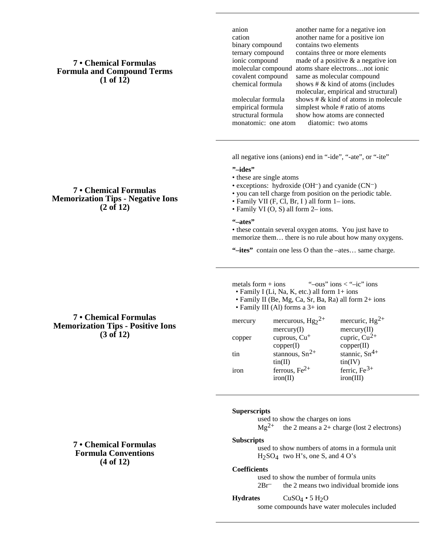# **7 • Chemical Formulas Formula and Compound Terms (1 of 12)**

anion another name for a negative ion cation another name for a positive ion binary compound contains two elements ternary compound contains three or more elements ionic compound made of a positive & a negative ion molecular compound atoms share electrons…not ionic covalent compound same as molecular compound chemical formula shows  $\#\&$  kind of atoms (includes molecular, empirical and structural) molecular formula shows  $\#\&$  kind of atoms in molecule empirical formula simplest whole # ratio of atoms<br>structural formula show how atoms are connected show how atoms are connected monatomic: one atom diatomic: two atoms

all negative ions (anions) end in "-ide", "-ate", or "-ite"

#### **"–ides"**

- these are single atoms
- exceptions: hydroxide (OH<sup>-</sup>) and cyanide (CN<sup>-</sup>)
- you can tell charge from position on the periodic table.
- Family VII (F, Cl, Br, I) all form 1– ions.
- Family VI (O, S) all form 2– ions.

**"–ates"**

• these contain several oxygen atoms. You just have to memorize them… there is no rule about how many oxygens.

**"–ites"** contain one less O than the –ates… same charge.

metals form  $+$  ions  $\sim$   $-\text{cis}$   $\sim$   $-\text{ic}$   $\sim$  ions

• Family I (Li, Na, K, etc.) all form 1+ ions

- Family II (Be, Mg, Ca, Sr, Ba, Ra) all form 2+ ions
- Family III (Al) forms a 3+ ion

| mercury | mercurous, $Hg22+$           | mercuric, $Hg^{2+}$         |  |
|---------|------------------------------|-----------------------------|--|
|         | $\text{mercury}(\mathbf{I})$ | $\text{mercury}(\text{II})$ |  |
| copper  | cuprous, $Cu+$               | cupric, $Cu^{2+}$           |  |
|         | copper(I)                    | copper(II)                  |  |
| tin     | stannous, $Sn^{2+}$          | stannic, $Sn^{4+}$          |  |
|         | $\text{tin(II)}$             | $\text{tin}(\text{IV})$     |  |
| iron    | ferrous, $Fe2+$              | ferric, $Fe^{3+}$           |  |
|         | iron(II)                     | iron(III)                   |  |

#### **Superscripts**

used to show the charges on ions  $Mg^{2+}$  the 2 means a 2+ charge (lost 2 electrons)

#### **Subscripts**

used to show numbers of atoms in a formula unit H2SO4 two H's, one S, and 4 O's

**Coefficients**

used to show the number of formula units 2Br– the 2 means two individual bromide ions

**Hydrates** CuSO<sub>4</sub> • 5 H<sub>2</sub>O

some compounds have water molecules included

### **7 • Chemical Formulas Memorization Tips - Negative Ions (2 of 12)**

# **7 • Chemical Formulas Memorization Tips - Positive Ions (3 of 12)**

**7 • Chemical Formulas Formula Conventions (4 of 12)**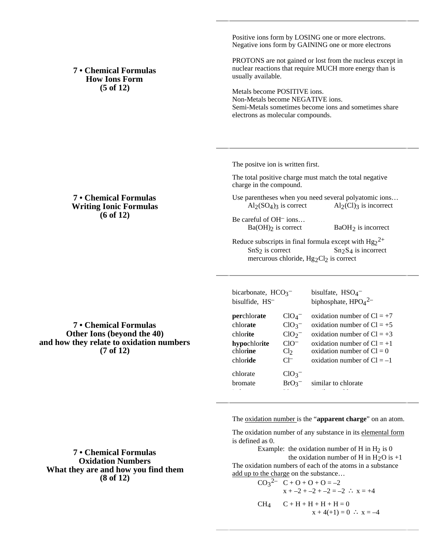**7 • Chemical Formulas How Ions Form (5 of 12)**

Positive ions form by LOSING one or more electrons. Negative ions form by GAINING one or more electrons

PROTONS are not gained or lost from the nucleus except in nuclear reactions that require MUCH more energy than is usually available.

Metals become POSITIVE ions. Non-Metals become NEGATIVE ions. Semi-Metals sometimes become ions and sometimes share electrons as molecular compounds.

The positve ion is written first.

The total positive charge must match the total negative charge in the compound.

Use parentheses when you need several polyatomic ions...<br>Al<sub>2</sub>(SO<sub>4</sub>)<sub>3</sub> is correct  $\text{Al}_2(\text{Cl})_3$  is incorrect  $Al_2$ (Cl)<sub>3</sub> is incorrect

Be careful of OH– ions…  $Ba(OH)_2$  is correct  $BaOH_2$  is incorrect

Reduce subscripts in final formula except with  $\text{Hg2}^{2+}$  $SnS<sub>2</sub>$  is correct  $Sn<sub>2</sub>S<sub>4</sub>$  is incorrect mercurous chloride, Hg<sub>2</sub>Cl<sub>2</sub> is correct

bicarbonate, HCO<sub>3</sub><sup>-</sup><br>bisulfide, HS<sup>-</sup>  $-$  bisulfate,  $HSO_4^$ bisulfide,  $HS^-$  biphosphate,  $HPO_4^2$ **perchlorate** ClO<sub>4</sub><sup>-</sup> oxidation number of  $Cl = +7$ chlorate ClO<sub>3</sub><sup>-</sup> oxidation number of  $Cl = +5$ chlorite ClO<sub>2</sub><sup>-</sup> oxidation number of  $Cl = +3$ **hypo**chlorite  $ClO^-$  oxidation number of  $Cl = +1$ chlorine  $Cl<sub>2</sub>$  oxidation number of  $Cl = 0$ chlor**ide**  $Cl^-$  oxidation number of  $Cl = -1$ chlorate  $ClO_3^$ bromate  $BrO_3^$ similar to chlorate

The oxidation number is the "**apparent charge**" on an atom.

The oxidation number of any substance in its elemental form is defined as 0.

Example: the oxidation number of H in  $H_2$  is 0 the oxidation number of H in  $H_2O$  is  $+1$ The oxidation numbers of each of the atoms in a substance add up to the charge on the substance…

$$
CO32- C + O + O + O = -2
$$
  
x + -2 + -2 + -2 = -2 x = +4  

$$
CH4 C + H + H + H + H = 0
$$
  
x + 4(+1) = 0 x = -4

### **7 • Chemical Formulas Writing Ionic Formulas (6 of 12)**

**7 • Chemical Formulas Other Ions (beyond the 40) and how they relate to oxidation numbers (7 of 12)**

**7 • Chemical Formulas Oxidation Numbers What they are and how you find them (8 of 12)**